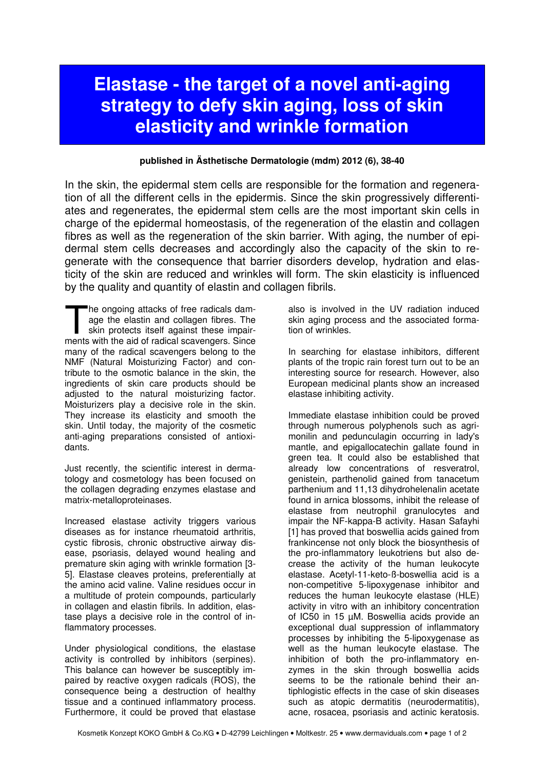## Elastase - the target of a novel anti-aging strategy to defy skin aging, loss of skin elasticity and wrinkle formation

## published in Ästhetische Dermatologie (mdm) 2012 (6), 38-40

In the skin, the epidermal stem cells are responsible for the formation and regeneration of all the different cells in the epidermis. Since the skin progressively differentiates and regenerates, the epidermal stem cells are the most important skin cells in charge of the epidermal homeostasis, of the regeneration of the elastin and collagen fibres as well as the regeneration of the skin barrier. With aging, the number of epidermal stem cells decreases and accordingly also the capacity of the skin to regenerate with the consequence that barrier disorders develop, hydration and elasticity of the skin are reduced and wrinkles will form. The skin elasticity is influenced by the quality and quantity of elastin and collagen fibrils.

he ongoing attacks of free radicals damage the elastin and collagen fibres. The skin protects itself against these impair-The ongoing attacks of free radicals damage the elastin and collagen fibres. The skin protects itself against these impairments with the aid of radical scavengers. Since many of the radical scavengers belong to the NMF (Natural Moisturizing Factor) and contribute to the osmotic balance in the skin, the ingredients of skin care products should be adjusted to the natural moisturizing factor. Moisturizers play a decisive role in the skin. They increase its elasticity and smooth the skin. Until today, the majority of the cosmetic anti-aging preparations consisted of antioxidants.

Just recently, the scientific interest in dermatology and cosmetology has been focused on the collagen degrading enzymes elastase and matrix-metalloproteinases.

Increased elastase activity triggers various diseases as for instance rheumatoid arthritis, cystic fibrosis, chronic obstructive airway disease, psoriasis, delayed wound healing and premature skin aging with wrinkle formation [3- 5]. Elastase cleaves proteins, preferentially at the amino acid valine. Valine residues occur in a multitude of protein compounds, particularly in collagen and elastin fibrils. In addition, elastase plays a decisive role in the control of inflammatory processes.

Under physiological conditions, the elastase activity is controlled by inhibitors (serpines). This balance can however be susceptibly impaired by reactive oxygen radicals (ROS), the consequence being a destruction of healthy tissue and a continued inflammatory process. Furthermore, it could be proved that elastase

also is involved in the UV radiation induced skin aging process and the associated formation of wrinkles.

In searching for elastase inhibitors, different plants of the tropic rain forest turn out to be an interesting source for research. However, also European medicinal plants show an increased elastase inhibiting activity.

Immediate elastase inhibition could be proved through numerous polyphenols such as agrimonilin and pedunculagin occurring in lady's mantle, and epigallocatechin gallate found in green tea. It could also be established that already low concentrations of resveratrol, genistein, parthenolid gained from tanacetum parthenium and 11,13 dihydrohelenalin acetate found in arnica blossoms, inhibit the release of elastase from neutrophil granulocytes and impair the NF-kappa-B activity. Hasan Safayhi [1] has proved that boswellia acids gained from frankincense not only block the biosynthesis of the pro-inflammatory leukotriens but also decrease the activity of the human leukocyte elastase. Acetyl-11-keto-ß-boswellia acid is a non-competitive 5-lipoxygenase inhibitor and reduces the human leukocyte elastase (HLE) activity in vitro with an inhibitory concentration of IC50 in 15 µM. Boswellia acids provide an exceptional dual suppression of inflammatory processes by inhibiting the 5-lipoxygenase as well as the human leukocyte elastase. The inhibition of both the pro-inflammatory enzymes in the skin through boswellia acids seems to be the rationale behind their antiphlogistic effects in the case of skin diseases such as atopic dermatitis (neurodermatitis), acne, rosacea, psoriasis and actinic keratosis.